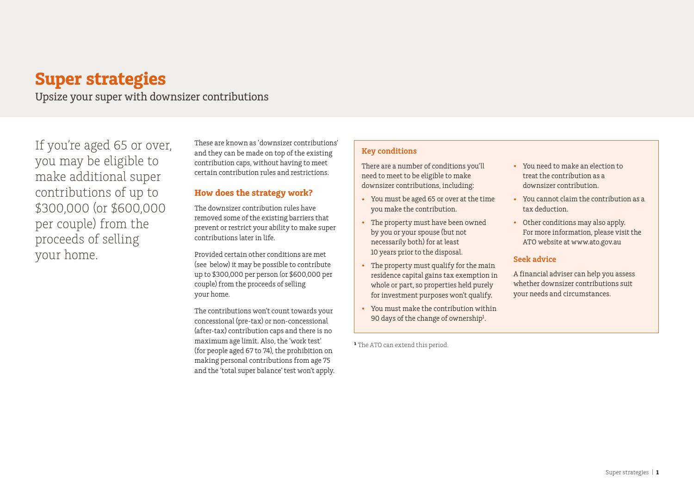# **Super strategies**

Upsize your super with downsizer contributions

If you're aged 65 or over, you may be eligible to make additional super contributions of up to \$300,000 (or \$600,000 per couple) from the proceeds of selling your home.

These are known as 'downsizer contributions' and they can be made on top of the existing contribution caps, without having to meet certain contribution rules and restrictions.

# **How does the strategy work?**

The downsizer contribution rules have removed some of the existing barriers that prevent or restrict your ability to make super contributions later in life.

Provided certain other conditions are met (see below) it may be possible to contribute up to \$300,000 per person (or \$600,000 per couple) from the proceeds of selling your home.

The contributions won't count towards your concessional (pre-tax) or non-concessional (after-tax) contribution caps and there is no maximum age limit. Also, the 'work test' (for people aged 67 to 74), the prohibition on making personal contributions from age 75 and the 'total super balance' test won't apply.

# **Key conditions**

There are a number of conditions you'll need to meet to be eligible to make downsizer contributions, including:

- You must be aged 65 or over at the time you make the contribution.
- The property must have been owned by you or your spouse (but not necessarily both) for at least 10 years prior to the disposal.
- The property must qualify for the main residence capital gains tax exemption in whole or part, so properties held purely for investment purposes won't qualify.
- You must make the contribution within 90 days of the change of ownership<sup>1</sup>.

<sup>1</sup> The ATO can extend this period.

- You need to make an election to treat the contribution as a downsizer contribution.
- You cannot claim the contribution as a tax deduction.
- Other conditions may also apply. For more information, please visit the ATO website at www.ato.gov.au

### **Seek advice**

A financial adviser can help you assess whether downsizer contributions suit your needs and circumstances.